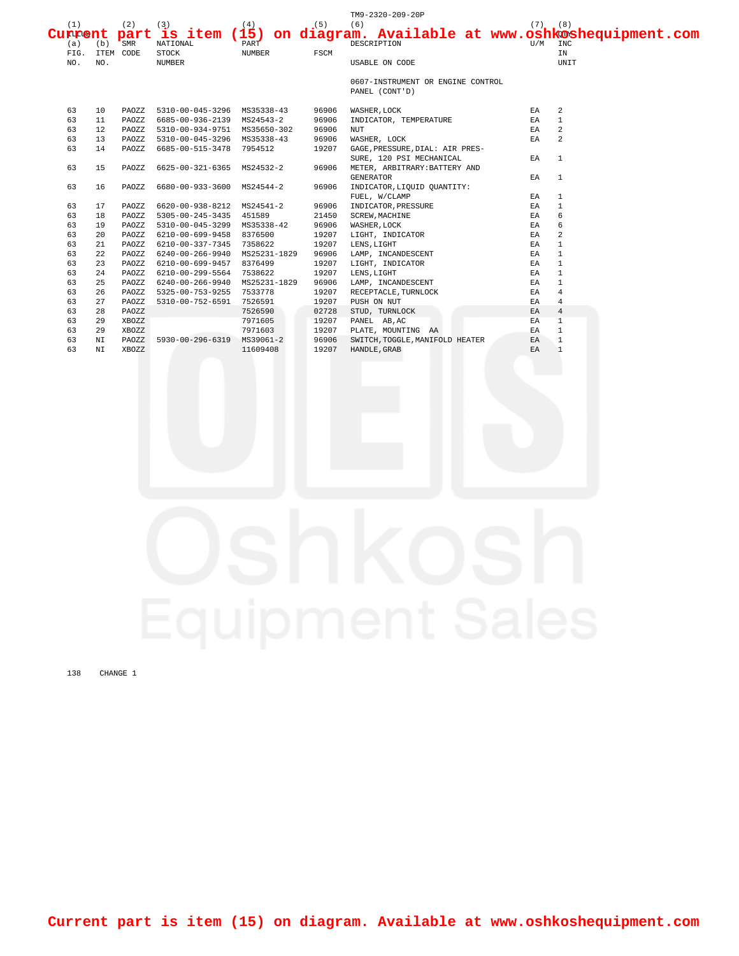|         |     |           |                              |               |       | TM9-2320-209-20P                  |             |                                                   |  |
|---------|-----|-----------|------------------------------|---------------|-------|-----------------------------------|-------------|---------------------------------------------------|--|
| (1)     |     | (2)       | (3)                          | (4)           | (5)   | (6)                               | $(7)$ $(8)$ |                                                   |  |
| Current |     | part      | is item $(15)$               |               |       |                                   |             | on diagram. Available at www.oshkoshequipment.com |  |
| (a)     | (b) | SMR       | NATIONAL                     | PART          |       | DESCRIPTION                       | U/M         | INC                                               |  |
| FIG.    |     | ITEM CODE | <b>STOCK</b>                 | <b>NUMBER</b> | FSCM  |                                   |             | IN                                                |  |
| NO.     | NO. |           | <b>NUMBER</b>                |               |       | USABLE ON CODE                    |             | UNIT                                              |  |
|         |     |           |                              |               |       | 0607-INSTRUMENT OR ENGINE CONTROL |             |                                                   |  |
|         |     |           |                              |               |       | PANEL (CONT'D)                    |             |                                                   |  |
| 63      | 10  | PAOZZ     | 5310-00-045-3296 MS35338-43  |               | 96906 | WASHER, LOCK                      | EA          | 2                                                 |  |
| 63      | 11  | PAOZZ     | 6685-00-936-2139 MS24543-2   |               | 96906 | INDICATOR, TEMPERATURE            | EA          | $\overline{1}$                                    |  |
| 63      | 12  | PAOZZ     | 5310-00-934-9751 MS35650-302 |               | 96906 | <b>NUT</b>                        | EA          | $\overline{a}$                                    |  |
| 63      | 13  | PAOZZ     | 5310-00-045-3296 MS35338-43  |               | 96906 | WASHER, LOCK                      | EA          | $\overline{a}$                                    |  |
| 63      | 14  | PAOZZ     | 6685-00-515-3478             | 7954512       | 19207 | GAGE, PRESSURE, DIAL: AIR PRES-   |             |                                                   |  |
|         |     |           |                              |               |       | SURE, 120 PSI MECHANICAL          | EA          | $\overline{1}$                                    |  |
| 63      | 15  | PAOZZ     | 6625-00-321-6365             | MS24532-2     | 96906 | METER, ARBITRARY: BATTERY AND     |             |                                                   |  |
|         |     |           |                              |               |       | <b>GENERATOR</b>                  | EA          | $\overline{1}$                                    |  |
| 63      | 16  | PAOZZ     | 6680-00-933-3600             | MS24544-2     | 96906 | INDICATOR, LIQUID QUANTITY:       |             |                                                   |  |
|         |     |           |                              |               |       | FUEL, W/CLAMP                     | EA          | $\mathbf{1}$                                      |  |
| 63      | 17  | PAOZZ     | 6620-00-938-8212             | MS24541-2     | 96906 | INDICATOR, PRESSURE               | EA          | $\mathbf{1}$                                      |  |
| 63      | 18  | PAOZZ     | $5305 - 00 - 245 - 3435$     | 451589        | 21450 | <b>SCREW, MACHINE</b>             | EA          | 6                                                 |  |
| 63      | 19  | PAOZZ     | 5310-00-045-3299 MS35338-42  |               | 96906 | WASHER, LOCK                      | EA          | 6                                                 |  |
| 63      | 20  | PAOZZ     | 6210-00-699-9458 8376500     |               | 19207 | LIGHT, INDICATOR                  | EA          | 2                                                 |  |
| 63      | 21  | PAOZZ     | 6210-00-337-7345             | 7358622       | 19207 | LENS, LIGHT                       | ΕA          | $\mathbf{1}$                                      |  |
| 63      | 22  | PAOZZ     | 6240-00-266-9940             | MS25231-1829  | 96906 | LAMP, INCANDESCENT                | EA          | $\mathbf{1}$                                      |  |
| 63      | 23  | PAOZZ     | 6210-00-699-9457 8376499     |               | 19207 | LIGHT, INDICATOR                  | EA          | $\mathbf{1}$                                      |  |
| 63      | 24  | PAOZZ     | 6210-00-299-5564             | 7538622       | 19207 | LENS, LIGHT                       | EA          | $\mathbf{1}$                                      |  |
| 63      | 25  | PAOZZ     | 6240-00-266-9940             | MS25231-1829  | 96906 | LAMP, INCANDESCENT                | ΕA          | $\mathbf{1}$                                      |  |
| 63      | 26  | PAOZZ     | 5325-00-753-9255             | 7533778       | 19207 | RECEPTACLE, TURNLOCK              | EA          | $\overline{4}$                                    |  |
| 63      | 27  | PAOZZ     | 5310-00-752-6591             | 7526591       | 19207 | PUSH ON NUT                       | EA          | $\overline{4}$                                    |  |
| 63      | 28  | PAOZZ     |                              | 7526590       | 02728 | STUD, TURNLOCK                    | EA          | $\overline{4}$                                    |  |
| 63      | 29  | XBOZZ     |                              | 7971605       | 19207 | PANEL AB, AC                      | ΕA          | $\overline{1}$                                    |  |
| 63      | 29  | XBOZZ     |                              | 7971603       | 19207 | PLATE, MOUNTING AA                | EA          | $\mathbf{1}$                                      |  |
| 63      | NΙ  | PAOZZ     | 5930-00-296-6319             | MS39061-2     | 96906 | SWITCH, TOGGLE, MANIFOLD HEATER   | EA          | $\mathbf{1}$                                      |  |
| 63      | ΝI  | XBOZZ     |                              | 11609408      | 19207 | HANDLE, GRAB                      | EA          | $\overline{1}$                                    |  |

138 CHANGE 1